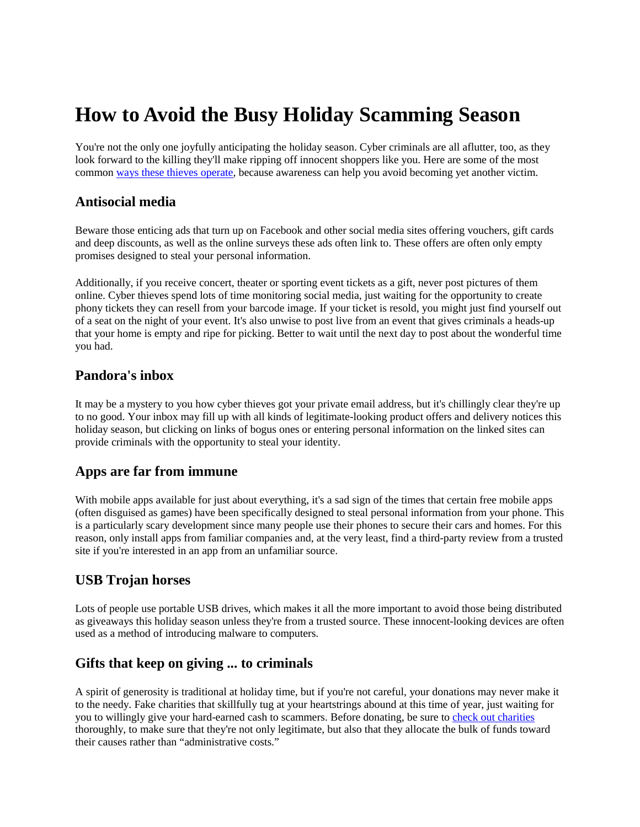# **How to Avoid the Busy Holiday Scamming Season**

You're not the only one joyfully anticipating the holiday season. Cyber criminals are all aflutter, too, as they look forward to the killing they'll make ripping off innocent shoppers like you. Here are some of the most common [ways these thieves operate,](https://www.fbi.gov/contact-us/field-offices/sandiego/news/press-releases/fbi-reminds-shoppers-to-be-aware-of-cyber-criminals-offering-scams-this-holiday-season) because awareness can help you avoid becoming yet another victim.

### **Antisocial media**

Beware those enticing ads that turn up on Facebook and other social media sites offering vouchers, gift cards and deep discounts, as well as the online surveys these ads often link to. These offers are often only empty promises designed to steal your personal information.

Additionally, if you receive concert, theater or sporting event tickets as a gift, never post pictures of them online. Cyber thieves spend lots of time monitoring social media, just waiting for the opportunity to create phony tickets they can resell from your barcode image. If your ticket is resold, you might just find yourself out of a seat on the night of your event. It's also unwise to post live from an event that gives criminals a heads-up that your home is empty and ripe for picking. Better to wait until the next day to post about the wonderful time you had.

## **Pandora's inbox**

It may be a mystery to you how cyber thieves got your private email address, but it's chillingly clear they're up to no good. Your inbox may fill up with all kinds of legitimate-looking product offers and delivery notices this holiday season, but clicking on links of bogus ones or entering personal information on the linked sites can provide criminals with the opportunity to steal your identity.

#### **Apps are far from immune**

With mobile apps available for just about everything, it's a sad sign of the times that certain free mobile apps (often disguised as games) have been specifically designed to steal personal information from your phone. This is a particularly scary development since many people use their phones to secure their cars and homes. For this reason, only install apps from familiar companies and, at the very least, find a third-party review from a trusted site if you're interested in an app from an unfamiliar source.

#### **USB Trojan horses**

Lots of people use portable USB drives, which makes it all the more important to avoid those being distributed as giveaways this holiday season unless they're from a trusted source. These innocent-looking devices are often used as a method of introducing malware to computers.

#### **Gifts that keep on giving ... to criminals**

A spirit of generosity is traditional at holiday time, but if you're not careful, your donations may never make it to the needy. Fake charities that skillfully tug at your heartstrings abound at this time of year, just waiting for you to willingly give your hard-earned cash to scammers. Before donating, be sure to [check out charities](https://www.nerdwallet.com/blog/nonprofits/how-where-who-giving/) thoroughly, to make sure that they're not only legitimate, but also that they allocate the bulk of funds toward their causes rather than "administrative costs."